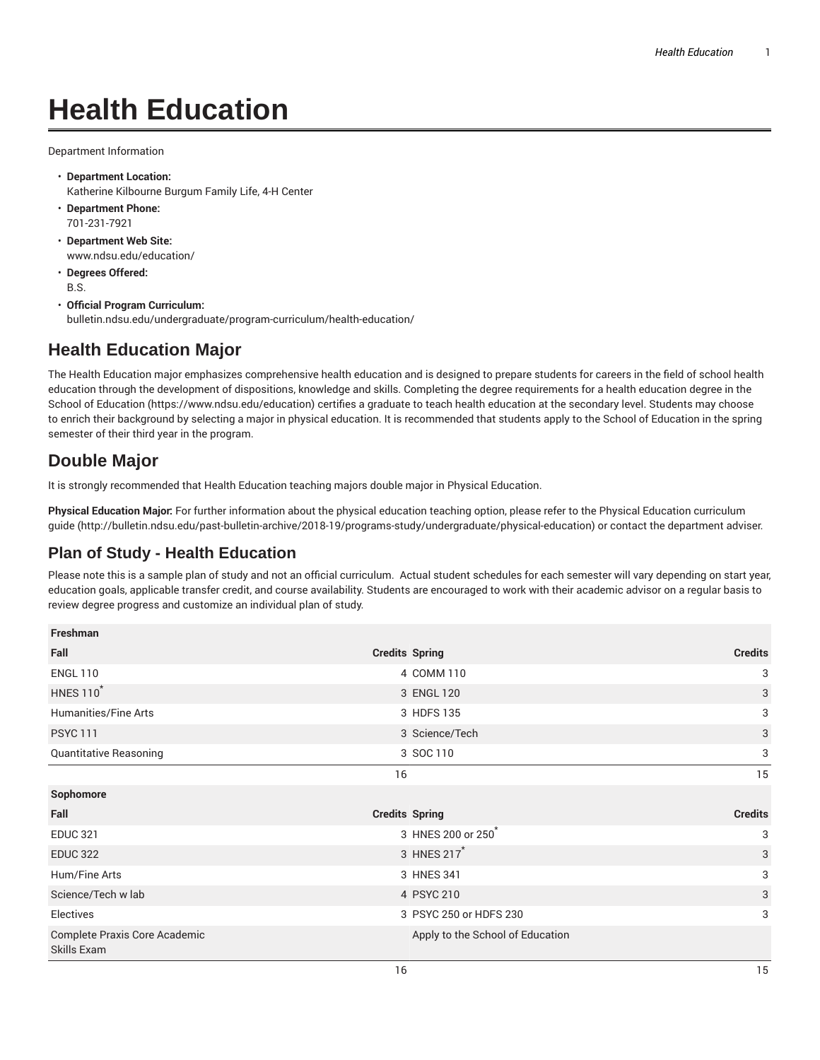# **Health Education**

Department Information

- **Department Location:** Katherine Kilbourne Burgum Family Life, 4-H Center
- **Department Phone:** 701-231-7921
- **Department Web Site:** www.ndsu.edu/education/
- **Degrees Offered:** B.S.
- **Official Program Curriculum:** bulletin.ndsu.edu/undergraduate/program-curriculum/health-education/

### **Health Education Major**

The Health Education major emphasizes comprehensive health education and is designed to prepare students for careers in the field of school health education through the development of dispositions, knowledge and skills. Completing the degree requirements for a health education degree in the School of Education (https://www.ndsu.edu/education) certifies a graduate to teach health education at the secondary level. Students may choose to enrich their background by selecting a major in physical education. It is recommended that students apply to the School of Education in the spring semester of their third year in the program.

## **Double Major**

It is strongly recommended that Health Education teaching majors double major in Physical Education.

**Physical Education Major:** For further information about the physical education teaching option, please refer to the Physical Education curriculum guide (http://bulletin.ndsu.edu/past-bulletin-archive/2018-19/programs-study/undergraduate/physical-education) or contact the department adviser.

#### **Plan of Study - Health Education**

Please note this is a sample plan of study and not an official curriculum. Actual student schedules for each semester will vary depending on start year, education goals, applicable transfer credit, and course availability. Students are encouraged to work with their academic advisor on a regular basis to review degree progress and customize an individual plan of study.

| Freshman                                     |                                  |                |
|----------------------------------------------|----------------------------------|----------------|
| Fall                                         | <b>Credits Spring</b>            | <b>Credits</b> |
| <b>ENGL 110</b>                              | 4 COMM 110                       | 3              |
| <b>HNES 110<sup>*</sup></b>                  | 3 ENGL 120                       | 3              |
| Humanities/Fine Arts                         | 3 HDFS 135                       | 3              |
| <b>PSYC 111</b>                              | 3 Science/Tech                   | $\mathbf{3}$   |
| Quantitative Reasoning                       | 3 SOC 110                        | 3              |
|                                              | 16                               | 15             |
| Sophomore                                    |                                  |                |
| Fall                                         | <b>Credits Spring</b>            | <b>Credits</b> |
| <b>EDUC 321</b>                              | 3 HNES 200 or 250                | 3              |
| <b>EDUC 322</b>                              | 3 HNES 217 <sup>*</sup>          | 3              |
| Hum/Fine Arts                                | 3 HNES 341                       | 3              |
| Science/Tech w lab                           | 4 PSYC 210                       | 3              |
| Electives                                    | 3 PSYC 250 or HDFS 230           | 3              |
| Complete Praxis Core Academic<br>Skills Exam | Apply to the School of Education |                |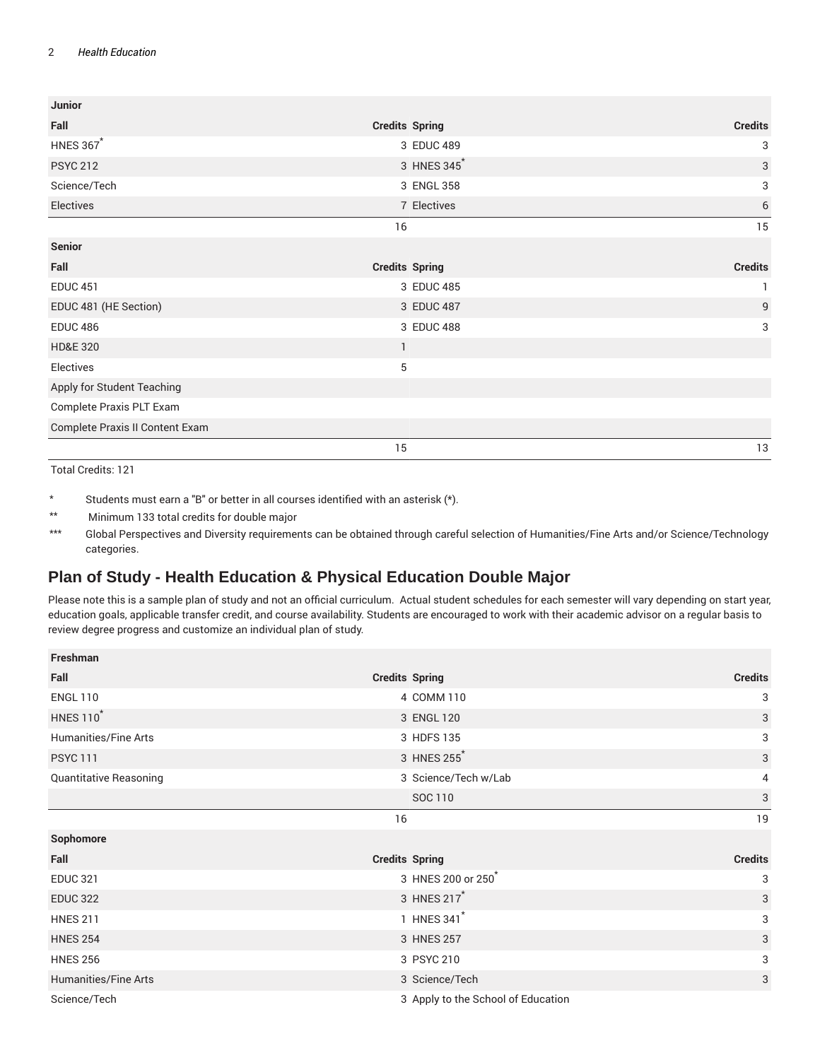#### 2 *Health Education*

| <b>Junior</b>                   |                       |                |
|---------------------------------|-----------------------|----------------|
| Fall                            | <b>Credits Spring</b> | <b>Credits</b> |
| <b>HNES 367*</b>                | 3 EDUC 489            | 3              |
| <b>PSYC 212</b>                 | 3 HNES 345            | $\mathbf{3}$   |
| Science/Tech                    | 3 ENGL 358            | 3              |
| Electives                       | 7 Electives           | $\,$ 6 $\,$    |
|                                 | 16                    | 15             |
| <b>Senior</b>                   |                       |                |
| Fall                            | <b>Credits Spring</b> | <b>Credits</b> |
| <b>EDUC 451</b>                 | 3 EDUC 485            |                |
| EDUC 481 (HE Section)           | 3 EDUC 487            | 9              |
| <b>EDUC 486</b>                 | 3 EDUC 488            | 3              |
| <b>HD&amp;E 320</b>             | $\mathbf{1}$          |                |
| Electives                       | 5                     |                |
| Apply for Student Teaching      |                       |                |
| Complete Praxis PLT Exam        |                       |                |
| Complete Praxis II Content Exam |                       |                |
|                                 | 15                    | 13             |

Total Credits: 121

\* Students must earn a "B" or better in all courses identified with an asterisk (\*).

\*\* Minimum 133 total credits for double major

\*\*\* Global Perspectives and Diversity requirements can be obtained through careful selection of Humanities/Fine Arts and/or Science/Technology categories.

#### **Plan of Study - Health Education & Physical Education Double Major**

Please note this is a sample plan of study and not an official curriculum. Actual student schedules for each semester will vary depending on start year, education goals, applicable transfer credit, and course availability. Students are encouraged to work with their academic advisor on a regular basis to review degree progress and customize an individual plan of study.

| Freshman                    |                                    |                |
|-----------------------------|------------------------------------|----------------|
| Fall                        | <b>Credits Spring</b>              | <b>Credits</b> |
| <b>ENGL 110</b>             | 4 COMM 110                         | 3              |
| <b>HNES 110<sup>*</sup></b> | 3 ENGL 120                         | 3              |
| <b>Humanities/Fine Arts</b> | 3 HDFS 135                         | 3              |
| <b>PSYC 111</b>             | 3 HNES 255                         | 3              |
| Quantitative Reasoning      | 3 Science/Tech w/Lab               | 4              |
|                             | SOC 110                            | 3              |
|                             | 16                                 | 19             |
| Sophomore                   |                                    |                |
| Fall                        | <b>Credits Spring</b>              | <b>Credits</b> |
| <b>EDUC 321</b>             | 3 HNES 200 or 250                  | 3              |
| <b>EDUC 322</b>             | 3 HNES 217 <sup>*</sup>            | 3              |
| <b>HNES 211</b>             | 1 HNES 341 <sup>*</sup>            | 3              |
| <b>HNES 254</b>             | 3 HNES 257                         | 3              |
| <b>HNES 256</b>             | 3 PSYC 210                         | 3              |
| Humanities/Fine Arts        | 3 Science/Tech                     | 3              |
| Science/Tech                | 3 Apply to the School of Education |                |